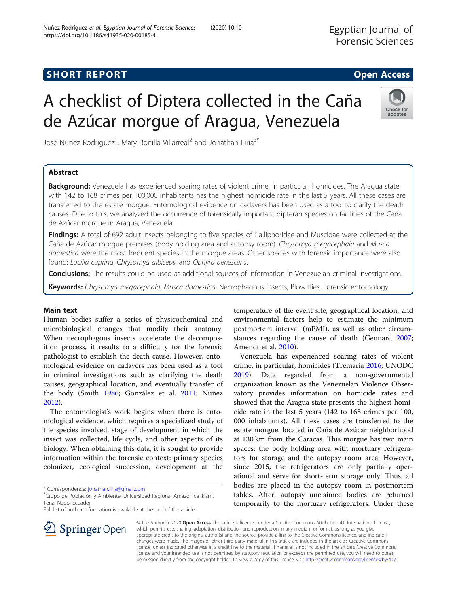# A checklist of Diptera collected in the Caña de Azúcar morgue of Aragua, Venezuela

José Nuñez Rodríguez<sup>1</sup>, Mary Bonilla Villarreal<sup>2</sup> and Jonathan Liria<sup>3\*</sup>

# Abstract

Background: Venezuela has experienced soaring rates of violent crime, in particular, homicides. The Aragua state with 142 to 168 crimes per 100,000 inhabitants has the highest homicide rate in the last 5 years. All these cases are transferred to the estate morgue. Entomological evidence on cadavers has been used as a tool to clarify the death causes. Due to this, we analyzed the occurrence of forensically important dipteran species on facilities of the Caña de Azúcar morgue in Aragua, Venezuela.

Findings: A total of 692 adult insects belonging to five species of Calliphoridae and Muscidae were collected at the Caña de Azúcar morgue premises (body holding area and autopsy room). Chrysomya megacephala and Musca domestica were the most frequent species in the morgue areas. Other species with forensic importance were also found: Lucilia cuprina, Chrysomya albiceps, and Ophyra aenescens.

**Conclusions:** The results could be used as additional sources of information in Venezuelan criminal investigations.

Keywords: Chrysomya megacephala, Musca domestica, Necrophagous insects, Blow flies, Forensic entomology

## Main text

Human bodies suffer a series of physicochemical and microbiological changes that modify their anatomy. When necrophagous insects accelerate the decomposition process, it results to a difficulty for the forensic pathologist to establish the death cause. However, entomological evidence on cadavers has been used as a tool in criminal investigations such as clarifying the death causes, geographical location, and eventually transfer of the body (Smith [1986;](#page-3-0) González et al. [2011](#page-2-0); Nuñez [2012](#page-2-0)).

The entomologist's work begins when there is entomological evidence, which requires a specialized study of the species involved, stage of development in which the insect was collected, life cycle, and other aspects of its biology. When obtaining this data, it is sought to provide information within the forensic context: primary species colonizer, ecological succession, development at the

\* Correspondence: [jonathan.liria@gmail.com](mailto:jonathan.liria@gmail.com) <sup>3</sup>

<sup>3</sup>Grupo de Población y Ambiente, Universidad Regional Amazónica Ikiam, Tena, Napo, Ecuador

Full list of author information is available at the end of the article

temperature of the event site, geographical location, and environmental factors help to estimate the minimum postmortem interval (mPMI), as well as other circumstances regarding the cause of death (Gennard [2007](#page-2-0); Amendt et al. [2010](#page-2-0)).

Venezuela has experienced soaring rates of violent crime, in particular, homicides (Tremaria [2016](#page-3-0); UNODC [2019](#page-3-0)). Data regarded from a non-governmental organization known as the Venezuelan Violence Observatory provides information on homicide rates and showed that the Aragua state presents the highest homicide rate in the last 5 years (142 to 168 crimes per 100, 000 inhabitants). All these cases are transferred to the estate morgue, located in Caña de Azúcar neighborhood at 130 km from the Caracas. This morgue has two main spaces: the body holding area with mortuary refrigerators for storage and the autopsy room area. However, since 2015, the refrigerators are only partially operational and serve for short-term storage only. Thus, all bodies are placed in the autopsy room in postmortem tables. After, autopsy unclaimed bodies are returned temporarily to the mortuary refrigerators. Under these

© The Author(s). 2020 Open Access This article is licensed under a Creative Commons Attribution 4.0 International License, which permits use, sharing, adaptation, distribution and reproduction in any medium or format, as long as you give appropriate credit to the original author(s) and the source, provide a link to the Creative Commons licence, and indicate if changes were made. The images or other third party material in this article are included in the article's Creative Commons licence, unless indicated otherwise in a credit line to the material. If material is not included in the article's Creative Commons licence and your intended use is not permitted by statutory regulation or exceeds the permitted use, you will need to obtain permission directly from the copyright holder. To view a copy of this licence, visit <http://creativecommons.org/licenses/by/4.0/>.



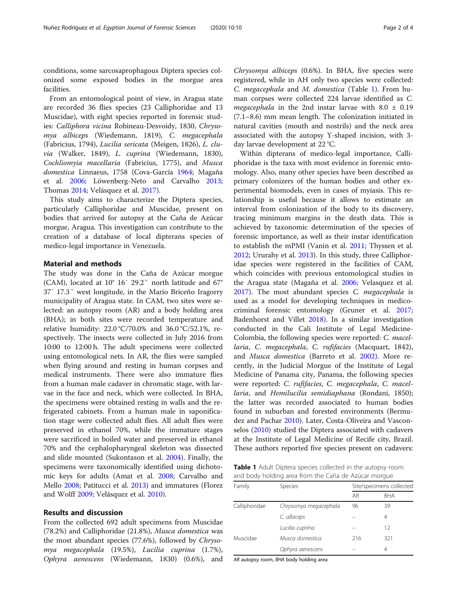conditions, some sarcosaprophagous Diptera species colonized some exposed bodies in the morgue area facilities.

From an entomological point of view, in Aragua state are recorded 36 flies species (23 Calliphoridae and 13 Muscidae), with eight species reported in forensic studies: Calliphora vicina Robineau-Desvoidy, 1830, Chrysomya albiceps (Wiedemann, 1819), C. megacephala (Fabricius, 1794), Lucilia sericata (Meigen, 1826), L. cluvia (Walker, 1849), L. cuprina (Wiedemann, 1830), Cochliomyia macellaria (Fabricius, 1775), and Musca domestica Linnaeus, 1758 (Cova-García [1964;](#page-2-0) Magaña et al. [2006;](#page-2-0) Löwenberg-Neto and Carvalho [2013](#page-2-0); Thomas [2014;](#page-3-0) Velásquez et al. [2017\)](#page-3-0).

This study aims to characterize the Diptera species, particularly Calliphoridae and Muscidae, present on bodies that arrived for autopsy at the Caña de Azúcar morgue, Aragua. This investigation can contribute to the creation of a database of local dipterans species of medico-legal importance in Venezuela.

## Material and methods

The study was done in the Caña de Azúcar morgue (CAM), located at 10° 16′ 29.2″ north latitude and 67° 37′ 17.3″ west longitude, in the Mario Briceño Iragorry municipality of Aragua state. In CAM, two sites were selected: an autopsy room (AR) and a body holding area (BHA); in both sites were recorded temperature and relative humidity: 22.0 °C/70.0% and 36.0 °C/52.1%, respectively. The insects were collected in July 2016 from 10:00 to 12:00 h. The adult specimens were collected using entomological nets. In AR, the flies were sampled when flying around and resting in human corpses and medical instruments. There were also immature flies from a human male cadaver in chromatic stage, with larvae in the face and neck, which were collected. In BHA, the specimens were obtained resting in walls and the refrigerated cabinets. From a human male in saponification stage were collected adult flies. All adult flies were preserved in ethanol 70%, while the immature stages were sacrificed in boiled water and preserved in ethanol 70% and the cephalopharyngeal skeleton was dissected and slide mounted (Sukontason et al. [2004\)](#page-3-0). Finally, the specimens were taxonomically identified using dichotomic keys for adults (Amat et al. [2008;](#page-2-0) Carvalho and Mello [2008](#page-2-0); Patitucci et al. [2013](#page-2-0)) and immatures (Florez and Wolff [2009;](#page-2-0) Velásquez et al. [2010\)](#page-3-0).

### Results and discussion

From the collected 692 adult specimens from Muscidae (78.2%) and Calliphoridae (21.8%), Musca domestica was the most abundant species (77.6%), followed by Chrysomya megacephala (19.5%), Lucilia cuprina (1.7%), Ophyra aenescens (Wiedemann, 1830) (0.6%), and Chrysomya albiceps (0.6%). In BHA, five species were registered, while in AH only two species were collected: C. megacephala and M. domestica (Table 1). From human corpses were collected 224 larvae identified as C. megacephala in the 2nd instar larvae with 8.0  $\pm$  0.19 (7.1–8.6) mm mean length. The colonization initiated in natural cavities (mouth and nostrils) and the neck area associated with the autopsy Y-shaped incision, with 3 day larvae development at 22 °C.

Within dipterans of medico-legal importance, Calliphoridae is the taxa with most evidence in forensic entomology. Also, many other species have been described as primary colonizers of the human bodies and other experimental biomodels, even in cases of myiasis. This relationship is useful because it allows to estimate an interval from colonization of the body to its discovery, tracing minimum margins in the death data. This is achieved by taxonomic determination of the species of forensic importance, as well as their instar identification to establish the mPMI (Vanin et al. [2011;](#page-3-0) Thyssen et al. [2012](#page-3-0); Ururahy et al. [2013](#page-3-0)). In this study, three Calliphoridae species were registered in the facilities of CAM, which coincides with previous entomological studies in the Aragua state (Magaña et al. [2006](#page-2-0); Velasquez et al. [2017](#page-3-0)). The most abundant species C. megacephala is used as a model for developing techniques in medicocriminal forensic entomology (Gruner et al. [2017](#page-2-0); Badenhorst and Villet [2018\)](#page-2-0). In a similar investigation conducted in the Cali Institute of Legal Medicine-Colombia, the following species were reported: C. macellaria, C. megacephala, C. rufifacies (Macquart, 1842), and Musca domestica (Barreto et al. [2002\)](#page-2-0). More recently, in the Judicial Morgue of the Institute of Legal Medicine of Panama city, Panama, the following species were reported: C. rufifacies, C. megacephala, C. macellaria, and Hemilucilia semidiaphana (Rondani, 1850); the latter was recorded associated to human bodies found in suburban and forested environments (Bermudez and Pachar [2010](#page-2-0)). Later, Costa-Oliveira and Vasconselos ([2010](#page-2-0)) studied the Diptera associated with cadavers at the Institute of Legal Medicine of Recife city, Brazil. These authors reported five species present on cadavers:

Table 1 Adult Diptera species collected in the autopsy room and body holding area from the Caña de Azúcar morgue

| Family        | <b>Species</b>        | Site/specimens collected |            |
|---------------|-----------------------|--------------------------|------------|
|               |                       | AR                       | <b>BHA</b> |
| Calliphoridae | Chrysomya megacephala | 96                       | 39         |
|               | C. albiceps           |                          | 4          |
|               | Lucilia cuprina       |                          | 12         |
| Muscidae      | Musca domestica       | 216                      | 321        |
|               | Ophyra aenescens      |                          | 4          |

AR autopsy room, BHA body holding area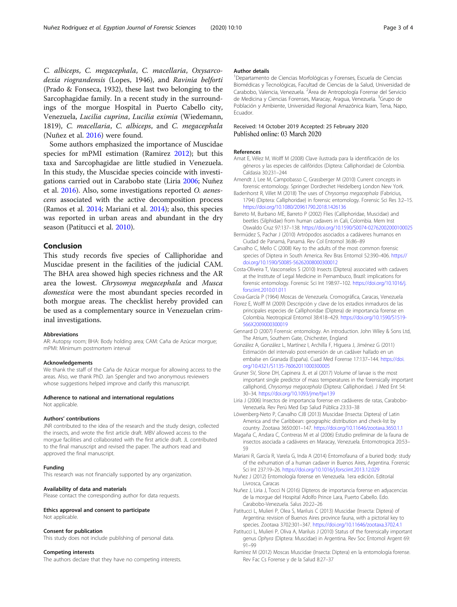<span id="page-2-0"></span>C. albiceps, C. megacephala, C. macellaria, Oxysarcodexia riograndensis (Lopes, 1946), and Ravinia belforti (Prado & Fonseca, 1932), these last two belonging to the Sarcophagidae family. In a recent study in the surroundings of the morgue Hospital in Puerto Cabello city, Venezuela, Lucilia cuprina, Lucilia eximia (Wiedemann, 1819), C. macellaria, C. albiceps, and C. megacephala (Nuñez et al. 2016) were found.

Some authors emphasized the importance of Muscidae species for mPMI estimation (Ramirez 2012); but this taxa and Sarcophagidae are little studied in Venezuela. In this study, the Muscidae species coincide with investigations carried out in Carabobo state (Liria 2006; Nuñez et al. 2016). Also, some investigations reported O. aenescens associated with the active decomposition process (Ramos et al. [2014;](#page-3-0) Mariani et al. 2014); also, this species was reported in urban areas and abundant in the dry season (Patitucci et al. 2010).

# Conclusion

This study records five species of Calliphoridae and Muscidae present in the facilities of the judicial CAM. The BHA area showed high species richness and the AR area the lowest. Chrysomya megacephala and Musca domestica were the most abundant species recorded in both morgue areas. The checklist hereby provided can be used as a complementary source in Venezuelan criminal investigations.

#### Abbreviations

AR: Autopsy room; BHA: Body holding area; CAM: Caña de Azúcar morgue; mPMI: Minimum postmortem interval

#### Acknowledgements

We thank the staff of the Caña de Azúcar morgue for allowing access to the areas. Also, we thank PhD. Jan Spengler and two anonymous reviewers whose suggestions helped improve and clarify this manuscript.

#### Adherence to national and international regulations

Not applicable.

#### Authors' contributions

JNR contributed to the idea of the research and the study design, collected the insects, and wrote the first article draft. MBV allowed access to the morgue facilities and collaborated with the first article draft. JL contributed to the final manuscript and revised the paper. The authors read and approved the final manuscript.

#### Funding

This research was not financially supported by any organization.

#### Availability of data and materials

Please contact the corresponding author for data requests.

# Ethics approval and consent to participate

Not applicable.

## Consent for publication

This study does not include publishing of personal data.

## Competing interests

The authors declare that they have no competing interests.

#### Author details

1 Departamento de Ciencias Morfológicas y Forenses, Escuela de Ciencias Biomédicas y Tecnológicas, Facultad de Ciencias de la Salud, Universidad de Carabobo, Valencia, Venezuela. <sup>2</sup>Área de Antropología Forense del Servicic de Medicina y Ciencias Forenses, Maracay, Aragua, Venezuela. <sup>3</sup>Grupo de Población y Ambiente, Universidad Regional Amazónica Ikiam, Tena, Napo, Ecuador.

#### Received: 14 October 2019 Accepted: 25 February 2020 Published online: 03 March 2020

#### References

- Amat E, Vélez M, Wolff M (2008) Clave ilustrada para la identificación de los géneros y las especies de califóridos (Diptera: Calliphoridae) de Colombia. Caldasia 30:231–244
- Amendt J, Lee M, Campobasso C, Grassberger M (2010) Current concepts in forensic entomology. Springer Dordrechet Heidelberg London New York.
- Badenhorst R, Villet M (2018) The uses of Chrysomya megacephala (Fabricius, 1794) (Diptera: Calliphoridae) in forensic entomology. Forensic Sci Res 3:2–15. <https://doi.org/10.1080/20961790.2018.1426136>
- Barreto M, Burbano ME, Barreto P (2002) Flies (Calliphoridae, Muscidae) and beetles (Silphidae) from human cadavers in Cali, Colombia. Mem Inst Oswaldo Cruz 97:137–138. <https://doi.org/10.1590/S0074-02762002000100025>
- Bermúdez S, Pachar J (2010) Artrópodos asociados a cadáveres humanos en Ciudad de Panamá, Panamá. Rev Col Entomol 36:86–89
- Carvalho C, Mello C (2008) Key to the adults of the most common forensic species of Diptera in South America. Rev Bras Entomol 52:390–406. [https://](https://doi.org/10.1590/S0085-56262008000300012) [doi.org/10.1590/S0085-56262008000300012](https://doi.org/10.1590/S0085-56262008000300012)
- Costa-Oliveira T, Vasconselos S (2010) Insects (Diptera) associated with cadavers at the Institute of Legal Medicine in Pernambuco, Brazil: implications for forensic entomology. Forensic Sci Int 198:97–102. [https://doi.org/10.1016/j.](https://doi.org/10.1016/j.forsciint.2010.01.011) [forsciint.2010.01.011](https://doi.org/10.1016/j.forsciint.2010.01.011)
- Cova-García P (1964) Moscas de Venezuela. Cromográfica, Caracas, Venezuela
- Florez E, Wolff M (2009) Descripción y clave de los estadios inmaduros de las principales especies de Calliphoridae (Diptera) de importancia forense en Colombia. Neotropical Entomol 38:418–429. [https://doi.org/10.1590/S1519-](https://doi.org/10.1590/S1519-566X2009000300019) [566X2009000300019](https://doi.org/10.1590/S1519-566X2009000300019)
- Gennard D (2007) Forensic entomology. An introduction. John Wiley & Sons Ltd, The Atrium, Southern Gate, Chichester, England
- González A, González L, Martínez I, Archilla F, Higuera J, Jiménez G (2011) Estimación del intervalo post-emersión de un cadáver hallado en un embalse en Granada (España). Cuad Med Forense 17:137–144. [https://doi.](https://doi.org/10.4321/S1135-76062011000300005) [org/10.4321/S1135-76062011000300005](https://doi.org/10.4321/S1135-76062011000300005)
- Gruner SV, Slone DH, Capinera JL et al (2017) Volume of larvae is the most important single predictor of mass temperatures in the forensically important calliphorid, Chrysomya megacephala (Diptera: Calliphoridae). J Med Ent 54: 30–34. <https://doi.org/10.1093/jme/tjw139>
- Liria J (2006) Insectos de importancia forense en cadáveres de ratas, Carabobo-Venezuela. Rev Perú Med Exp Salud Pública 23:33–38
- Löwenberg-Neto P, Carvalho CJB (2013) Muscidae (Insecta: Diptera) of Latin America and the Caribbean: geographic distribution and check-list by country. Zootaxa 3650:001–147. <https://doi.org/10.11646/zootaxa.3650.1.1>
- Magaña C, Andara C, Contreras M et al (2006) Estudio preliminar de la fauna de insectos asociada a cadáveres en Maracay, Venezuela. Entomotropica 20:53– 59
- Mariani R, García R, Varela G, Inda A (2014) Entomofauna of a buried body: study of the exhumation of a human cadaver in Buenos Aires, Argentina. Forensic Sci Int 237:19–26. <https://doi.org/10.1016/j.forsciint.2013.12.029>
- Nuñez J (2012) Entomología forense en Venezuela. 1era edición. Editorial Livrosca, Caracas
- Nuñez J, Liria J, Tocci N (2016) Dípteros de importancia forense en adyacencias de la morgue del Hospital Adolfo Prince Lara, Puerto Cabello. Edo. Carabobo-Venezuela. Salus 20:22–26
- Patitucci L, Mulieri P, Olea S, Mariluis C (2013) Muscidae (Insecta: Diptera) of Argentina: revision of Buenos Aires province fauna, with a pictorial key to species. Zootaxa 3702:301–347. <https://doi.org/10.11646/zootaxa.3702.4.1>
- Patitucci L, Mulieri P, Oliva A, Mariluis J (2010) Status of the forensically important genus Ophyra (Diptera: Muscidae) in Argentina. Rev Soc Entomol Argent 69: 91–99
- Ramírez M (2012) Moscas Muscidae (Insecta: Diptera) en la entomología forense. Rev Fac Cs Forense y de la Salud 8:27–37